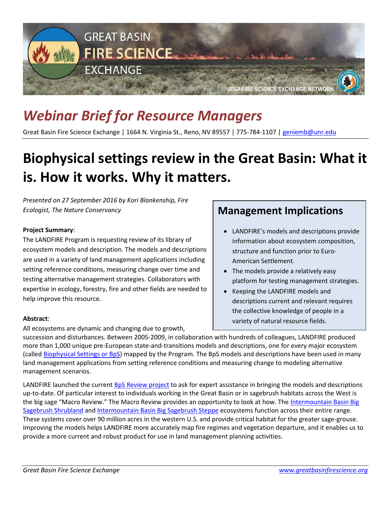

# *Webinar Brief for Resource Managers*

Great Basin Fire Science Exchange | 1664 N. Virginia St., Reno, NV 89557 | 775-784-1107 [| geniemb@unr.edu](mailto:geniemb@unr.edu)

## **Biophysical settings review in the Great Basin: What it is. How it works. Why it matters.**

*Presented on 27 September 2016 by Kori Blankenship, Fire Ecologist, The Nature Conservancy*

### **Project Summary**:

The LANDFIRE Program is requesting review of its library of ecosystem models and description. The models and descriptions are used in a variety of land management applications including setting reference conditions, measuring change over time and testing alternative management strategies. Collaborators with expertise in ecology, forestry, fire and other fields are needed to help improve this resource.

#### **Abstract**:

All ecosystems are dynamic and changing due to growth,

### **Management Implications**

- LANDFIRE's models and descriptions provide information about ecosystem composition, structure and function prior to Euro-American Settlement.
- The models provide a relatively easy platform for testing management strategies.
- Keeping the LANDFIRE models and descriptions current and relevant requires the collective knowledge of people in a variety of natural resource fields.

succession and disturbances. Between 2005-2009, in collaboration with hundreds of colleagues, LANDFIRE produced more than 1,000 unique pre-European state-and-transitions models and descriptions, one for every major ecosystem (called [Biophysical Settings or BpS\)](http://www.landfire.gov/NationalProductDescriptions24.php) mapped by the Program. The BpS models and descriptions have been used in many land management applications from setting reference conditions and measuring change to modeling alternative management scenarios.

LANDFIRE launched the current [BpS Review project](http://www.landfirereview.org/) to ask for expert assistance in bringing the models and descriptions up-to-date. Of particular interest to individuals working in the Great Basin or in sagebrush habitats across the West is the big sage "Macro Review." The Macro Review provides an opportunity to look at how. The [Intermountain Basin Big](http://www.landfirereview.org/macro-bigsageshrub.html)  [Sagebrush Shrubland](http://www.landfirereview.org/macro-bigsageshrub.html) and [Intermountain Basin Big Sagebrush Steppe](http://www.landfirereview.org/macro-bigsagesteppe.html) ecosystems function across their entire range. These systems cover over 90 million acres in the western U.S. and provide critical habitat for the greater sage-grouse. Improving the models helps LANDFIRE more accurately map fire regimes and vegetation departure, and it enables us to provide a more current and robust product for use in land management planning activities.